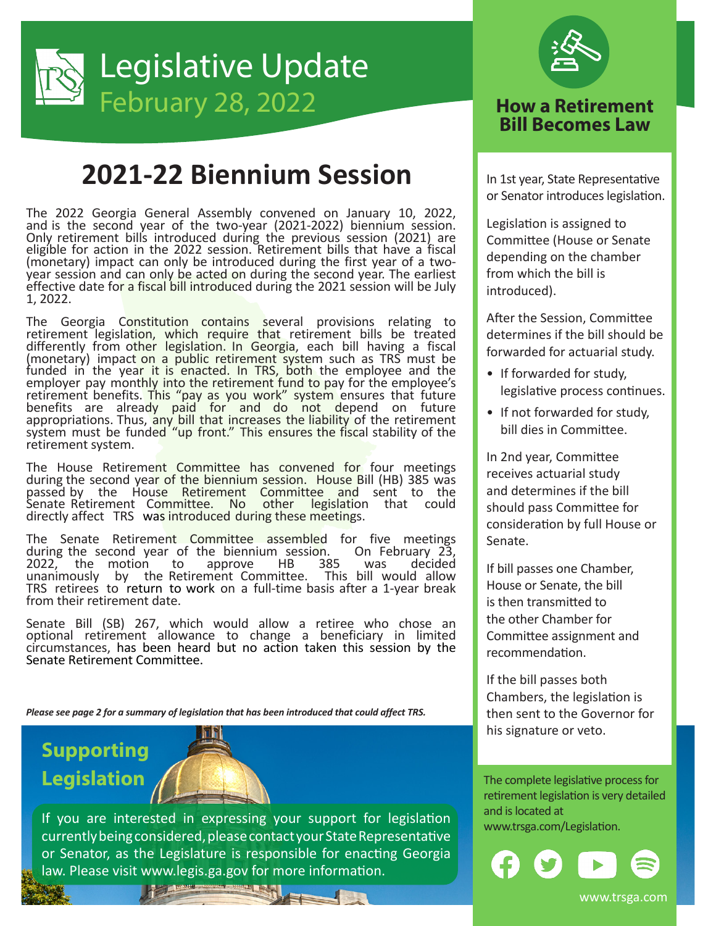

## **2021-22 Biennium Session**

The 2022 Georgia General Assembly convened on January 10, 2022, and is the second year of the two‐year (2021‐2022) biennium session. Only retirement bills introduced during the previous session (2021) are eligible for action in the 2022 session. Retirement bills that have a fiscal (monetary) impact can only be introduced during the first year of a two‐ year session and can only be acted on during the second year. The earliest effective date for a fiscal bill introduced during the 2021 session will be July 1, 2022.

The Georgia Constitution contains several provisions relating to retirement legislation, which require that retirement bills be treated differently from other legislation. In Georgia, each bill having a fiscal (monetary) impact on a public retirement system such as TRS must be funded in the year it is enacted. In TRS, both the employee and the employer pay monthly into the retirement fund to pay for the employee's retirement benefits. This "pay as you work" system ensures that future benefits are already paid for and do not depend on future appropriations. Thus, any bill that increases the liability of the retirement system must be funded "up front." This ensures the fiscal stability of the retirement system.

The House Retirement Committee has convened for four meetings during the second year of the biennium session. House Bill (HB) 385 was passed by the House Retirement Committee and sent to the Senate Retirement Committee. No other legislation that could directly affect TRS was introduced during these meetings.

The Senate Retirement Committee assembled for five meetings during the second year of the biennium session. On February 23, during the second year of the biennium session. On February 23, 2022, the motion unanimously by the Retirement Committee. This bill would allow TRS retirees to return to work on a full-time basis after a 1-year break from their retirement date.

Senate Bill (SB) 267, which would allow a retiree who chose an optional retirement allowance to change a beneficiary in limited circumstances, has been heard but no action taken this session by the Senate Retirement Committee.

*Please see page 2 for a summary of legislation that has been introduced that could affect TRS.*

## **Supporting Legislation**



If you are interested in expressing your support for legislation www.trsga.com/Legislation. currently being considered, please contact your State Representative or Senator, as the Legislature is responsible for enacting Georgia law. Please visit www.legis.ga.gov for more information.



## **Bill Becomes Law**

In 1st year, State Representative or Senator introduces legislation.

Legislation is assigned to Committee (House or Senate depending on the chamber from which the bill is introduced).

After the Session, Committee determines if the bill should be forwarded for actuarial study.

- If forwarded for study, legislative process continues.
- If not forwarded for study, bill dies in Committee.

In 2nd year, Committee receives actuarial study and determines if the bill should pass Committee for consideration by full House or Senate.

If bill passes one Chamber, House or Senate, the bill is then transmitted to the other Chamber for Committee assignment and recommendation.

If the bill passes both Chambers, the legislation is then sent to the Governor for his signature or veto.

The complete legislative process for retirement legislation is very detailed and is located at